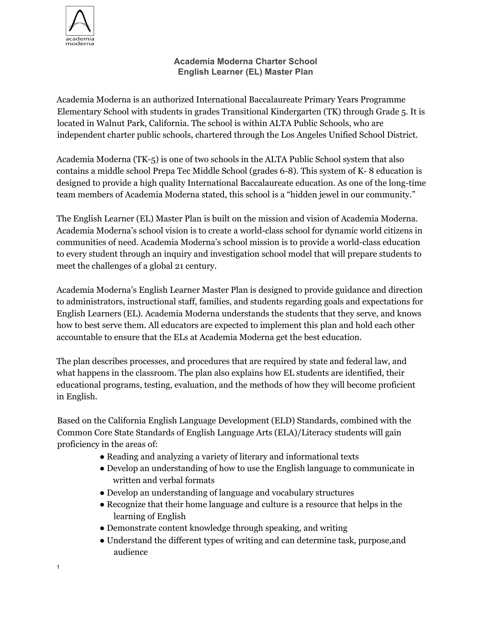

1

## **Academia Moderna Charter School English Learner (EL) Master Plan**

Academia Moderna is an authorized International Baccalaureate Primary Years Programme Elementary School with students in grades Transitional Kindergarten (TK) through Grade 5. It is located in Walnut Park, California. The school is within ALTA Public Schools, who are independent charter public schools, chartered through the Los Angeles Unified School District.

Academia Moderna (TK-5) is one of two schools in the ALTA Public School system that also contains a middle school Prepa Tec Middle School (grades 6-8). This system of K- 8 education is designed to provide a high quality International Baccalaureate education. As one of the long-time team members of Academia Moderna stated, this school is a "hidden jewel in our community."

The English Learner (EL) Master Plan is built on the mission and vision of Academia Moderna. Academia Moderna's school vision is to create a world-class school for dynamic world citizens in communities of need. Academia Moderna's school mission is to provide a world-class education to every student through an inquiry and investigation school model that will prepare students to meet the challenges of a global 21 century.

Academia Moderna's English Learner Master Plan is designed to provide guidance and direction to administrators, instructional staff, families, and students regarding goals and expectations for English Learners (EL). Academia Moderna understands the students that they serve, and knows how to best serve them. All educators are expected to implement this plan and hold each other accountable to ensure that the ELs at Academia Moderna get the best education.

The plan describes processes, and procedures that are required by state and federal law, and what happens in the classroom. The plan also explains how EL students are identified, their educational programs, testing, evaluation, and the methods of how they will become proficient in English.

Based on the California English Language Development (ELD) Standards, combined with the Common Core State Standards of English Language Arts (ELA)/Literacy students will gain proficiency in the areas of:

- Reading and analyzing a variety of literary and informational texts
- Develop an understanding of how to use the English language to communicate in written and verbal formats
- Develop an understanding of language and vocabulary structures
- Recognize that their home language and culture is a resource that helps in the learning of English
- Demonstrate content knowledge through speaking, and writing
- Understand the different types of writing and can determine task, purpose,and audience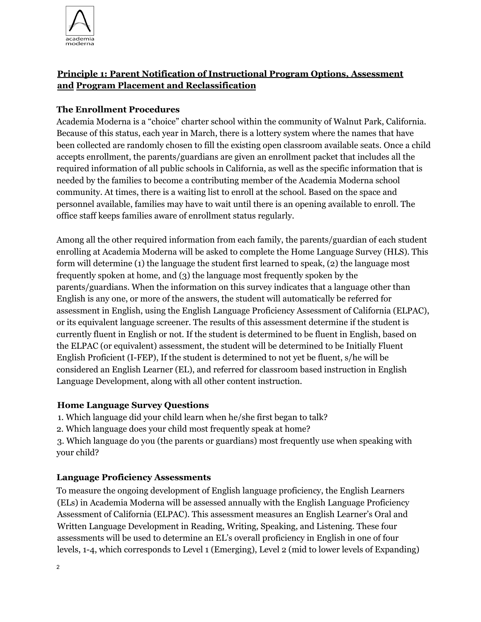

# **Principle 1: Parent Notification of Instructional Program Options, Assessment and Program Placement and Reclassification**

## **The Enrollment Procedures**

Academia Moderna is a "choice" charter school within the community of Walnut Park, California. Because of this status, each year in March, there is a lottery system where the names that have been collected are randomly chosen to fill the existing open classroom available seats. Once a child accepts enrollment, the parents/guardians are given an enrollment packet that includes all the required information of all public schools in California, as well as the specific information that is needed by the families to become a contributing member of the Academia Moderna school community. At times, there is a waiting list to enroll at the school. Based on the space and personnel available, families may have to wait until there is an opening available to enroll. The office staff keeps families aware of enrollment status regularly.

Among all the other required information from each family, the parents/guardian of each student enrolling at Academia Moderna will be asked to complete the Home Language Survey (HLS). This form will determine (1) the language the student first learned to speak, (2) the language most frequently spoken at home, and (3) the language most frequently spoken by the parents/guardians. When the information on this survey indicates that a language other than English is any one, or more of the answers, the student will automatically be referred for assessment in English, using the English Language Proficiency Assessment of California (ELPAC), or its equivalent language screener. The results of this assessment determine if the student is currently fluent in English or not. If the student is determined to be fluent in English, based on the ELPAC (or equivalent) assessment, the student will be determined to be Initially Fluent English Proficient (I-FEP), If the student is determined to not yet be fluent, s/he will be considered an English Learner (EL), and referred for classroom based instruction in English Language Development, along with all other content instruction.

### **Home Language Survey Questions**

1. Which language did your child learn when he/she first began to talk?

2. Which language does your child most frequently speak at home?

3. Which language do you (the parents or guardians) most frequently use when speaking with your child?

### **Language Proficiency Assessments**

To measure the ongoing development of English language proficiency, the English Learners (ELs) in Academia Moderna will be assessed annually with the English Language Proficiency Assessment of California (ELPAC). This assessment measures an English Learner's Oral and Written Language Development in Reading, Writing, Speaking, and Listening. These four assessments will be used to determine an EL's overall proficiency in English in one of four levels, 1-4, which corresponds to Level 1 (Emerging), Level 2 (mid to lower levels of Expanding)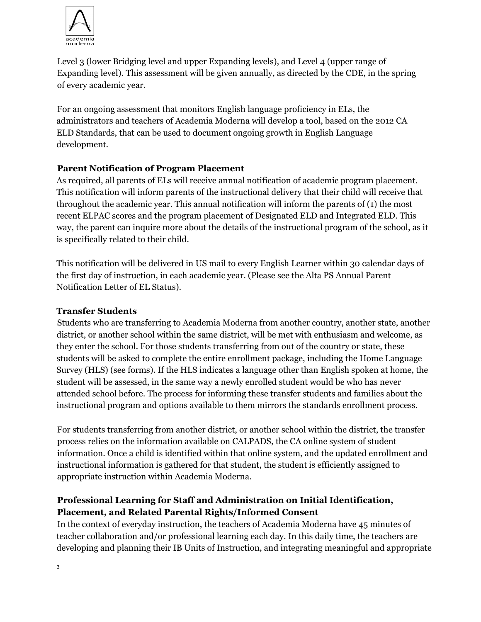

Level 3 (lower Bridging level and upper Expanding levels), and Level 4 (upper range of Expanding level). This assessment will be given annually, as directed by the CDE, in the spring of every academic year.

For an ongoing assessment that monitors English language proficiency in ELs, the administrators and teachers of Academia Moderna will develop a tool, based on the 2012 CA ELD Standards, that can be used to document ongoing growth in English Language development.

## **Parent Notification of Program Placement**

As required, all parents of ELs will receive annual notification of academic program placement. This notification will inform parents of the instructional delivery that their child will receive that throughout the academic year. This annual notification will inform the parents of (1) the most recent ELPAC scores and the program placement of Designated ELD and Integrated ELD. This way, the parent can inquire more about the details of the instructional program of the school, as it is specifically related to their child.

This notification will be delivered in US mail to every English Learner within 30 calendar days of the first day of instruction, in each academic year. (Please see the Alta PS Annual Parent Notification Letter of EL Status).

### **Transfer Students**

Students who are transferring to Academia Moderna from another country, another state, another district, or another school within the same district, will be met with enthusiasm and welcome, as they enter the school. For those students transferring from out of the country or state, these students will be asked to complete the entire enrollment package, including the Home Language Survey (HLS) (see forms). If the HLS indicates a language other than English spoken at home, the student will be assessed, in the same way a newly enrolled student would be who has never attended school before. The process for informing these transfer students and families about the instructional program and options available to them mirrors the standards enrollment process.

For students transferring from another district, or another school within the district, the transfer process relies on the information available on CALPADS, the CA online system of student information. Once a child is identified within that online system, and the updated enrollment and instructional information is gathered for that student, the student is efficiently assigned to appropriate instruction within Academia Moderna.

# **Professional Learning for Staff and Administration on Initial Identification, Placement, and Related Parental Rights/Informed Consent**

In the context of everyday instruction, the teachers of Academia Moderna have 45 minutes of teacher collaboration and/or professional learning each day. In this daily time, the teachers are developing and planning their IB Units of Instruction, and integrating meaningful and appropriate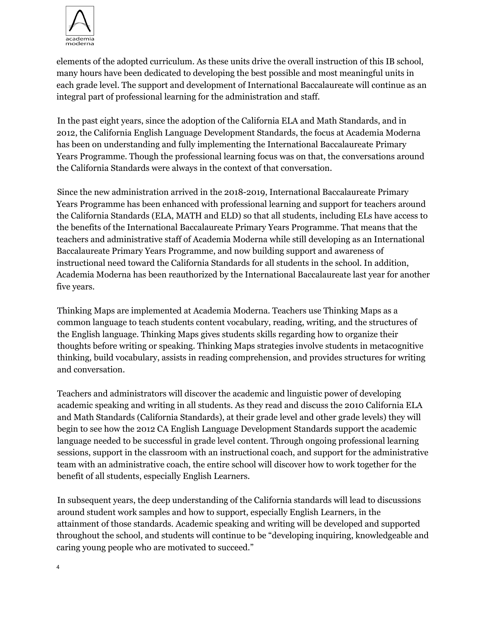

elements of the adopted curriculum. As these units drive the overall instruction of this IB school, many hours have been dedicated to developing the best possible and most meaningful units in each grade level. The support and development of International Baccalaureate will continue as an integral part of professional learning for the administration and staff.

In the past eight years, since the adoption of the California ELA and Math Standards, and in 2012, the California English Language Development Standards, the focus at Academia Moderna has been on understanding and fully implementing the International Baccalaureate Primary Years Programme. Though the professional learning focus was on that, the conversations around the California Standards were always in the context of that conversation.

Since the new administration arrived in the 2018-2019, International Baccalaureate Primary Years Programme has been enhanced with professional learning and support for teachers around the California Standards (ELA, MATH and ELD) so that all students, including ELs have access to the benefits of the International Baccalaureate Primary Years Programme. That means that the teachers and administrative staff of Academia Moderna while still developing as an International Baccalaureate Primary Years Programme, and now building support and awareness of instructional need toward the California Standards for all students in the school. In addition, Academia Moderna has been reauthorized by the International Baccalaureate last year for another five years.

Thinking Maps are implemented at Academia Moderna. Teachers use Thinking Maps as a common language to teach students content vocabulary, reading, writing, and the structures of the English language. Thinking Maps gives students skills regarding how to organize their thoughts before writing or speaking. Thinking Maps strategies involve students in metacognitive thinking, build vocabulary, assists in reading comprehension, and provides structures for writing and conversation.

Teachers and administrators will discover the academic and linguistic power of developing academic speaking and writing in all students. As they read and discuss the 2010 California ELA and Math Standards (California Standards), at their grade level and other grade levels) they will begin to see how the 2012 CA English Language Development Standards support the academic language needed to be successful in grade level content. Through ongoing professional learning sessions, support in the classroom with an instructional coach, and support for the administrative team with an administrative coach, the entire school will discover how to work together for the benefit of all students, especially English Learners.

In subsequent years, the deep understanding of the California standards will lead to discussions around student work samples and how to support, especially English Learners, in the attainment of those standards. Academic speaking and writing will be developed and supported throughout the school, and students will continue to be "developing inquiring, knowledgeable and caring young people who are motivated to succeed."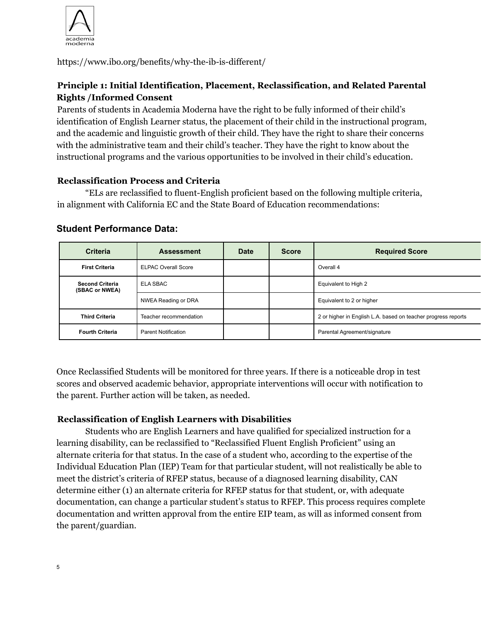

https://www.ibo.org/benefits/why-the-ib-is-different/

# **Principle 1: Initial Identification, Placement, Reclassification, and Related Parental Rights /Informed Consent**

Parents of students in Academia Moderna have the right to be fully informed of their child's identification of English Learner status, the placement of their child in the instructional program, and the academic and linguistic growth of their child. They have the right to share their concerns with the administrative team and their child's teacher. They have the right to know about the instructional programs and the various opportunities to be involved in their child's education.

### **Reclassification Process and Criteria**

"ELs are reclassified to fluent-English proficient based on the following multiple criteria, in alignment with California EC and the State Board of Education recommendations:

| <b>Criteria</b>                          | <b>Assessment</b>          | <b>Date</b> | <b>Score</b> | <b>Required Score</b>                                         |
|------------------------------------------|----------------------------|-------------|--------------|---------------------------------------------------------------|
| <b>First Criteria</b>                    | <b>ELPAC Overall Score</b> |             |              | Overall 4                                                     |
| <b>Second Criteria</b><br>(SBAC or NWEA) | ELA SBAC                   |             |              | Equivalent to High 2                                          |
|                                          | NWEA Reading or DRA        |             |              | Equivalent to 2 or higher                                     |
| <b>Third Criteria</b>                    | Teacher recommendation     |             |              | 2 or higher in English L.A. based on teacher progress reports |
| <b>Fourth Criteria</b>                   | <b>Parent Notification</b> |             |              | Parental Agreement/signature                                  |

### **Student Performance Data:**

Once Reclassified Students will be monitored for three years. If there is a noticeable drop in test scores and observed academic behavior, appropriate interventions will occur with notification to the parent. Further action will be taken, as needed.

### **Reclassification of English Learners with Disabilities**

Students who are English Learners and have qualified for specialized instruction for a learning disability, can be reclassified to "Reclassified Fluent English Proficient" using an alternate criteria for that status. In the case of a student who, according to the expertise of the Individual Education Plan (IEP) Team for that particular student, will not realistically be able to meet the district's criteria of RFEP status, because of a diagnosed learning disability, CAN determine either (1) an alternate criteria for RFEP status for that student, or, with adequate documentation, can change a particular student's status to RFEP. This process requires complete documentation and written approval from the entire EIP team, as will as informed consent from the parent/guardian.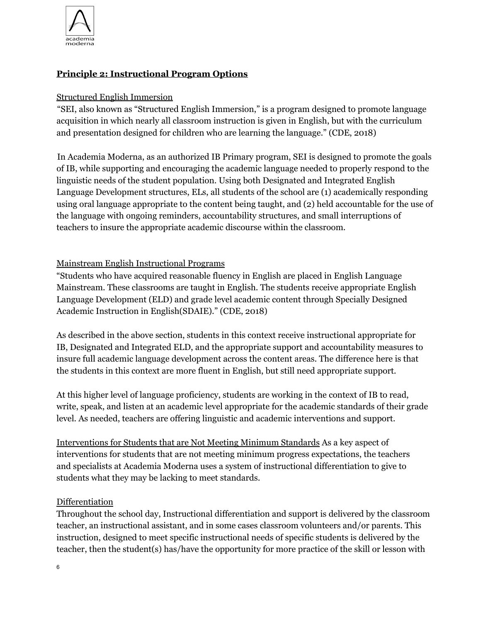

# **Principle 2: Instructional Program Options**

### Structured English Immersion

"SEI, also known as "Structured English Immersion," is a program designed to promote language acquisition in which nearly all classroom instruction is given in English, but with the curriculum and presentation designed for children who are learning the language." (CDE, 2018)

In Academia Moderna, as an authorized IB Primary program, SEI is designed to promote the goals of IB, while supporting and encouraging the academic language needed to properly respond to the linguistic needs of the student population. Using both Designated and Integrated English Language Development structures, ELs, all students of the school are (1) academically responding using oral language appropriate to the content being taught, and (2) held accountable for the use of the language with ongoing reminders, accountability structures, and small interruptions of teachers to insure the appropriate academic discourse within the classroom.

### Mainstream English Instructional Programs

"Students who have acquired reasonable fluency in English are placed in English Language Mainstream. These classrooms are taught in English. The students receive appropriate English Language Development (ELD) and grade level academic content through Specially Designed Academic Instruction in English(SDAIE)." (CDE, 2018)

As described in the above section, students in this context receive instructional appropriate for IB, Designated and Integrated ELD, and the appropriate support and accountability measures to insure full academic language development across the content areas. The difference here is that the students in this context are more fluent in English, but still need appropriate support.

At this higher level of language proficiency, students are working in the context of IB to read, write, speak, and listen at an academic level appropriate for the academic standards of their grade level. As needed, teachers are offering linguistic and academic interventions and support.

Interventions for Students that are Not Meeting Minimum Standards As a key aspect of interventions for students that are not meeting minimum progress expectations, the teachers and specialists at Academia Moderna uses a system of instructional differentiation to give to students what they may be lacking to meet standards.

### Differentiation

Throughout the school day, Instructional differentiation and support is delivered by the classroom teacher, an instructional assistant, and in some cases classroom volunteers and/or parents. This instruction, designed to meet specific instructional needs of specific students is delivered by the teacher, then the student(s) has/have the opportunity for more practice of the skill or lesson with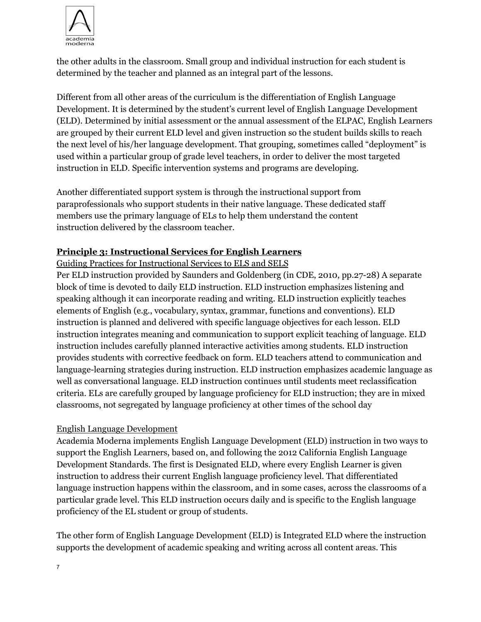

the other adults in the classroom. Small group and individual instruction for each student is determined by the teacher and planned as an integral part of the lessons.

Different from all other areas of the curriculum is the differentiation of English Language Development. It is determined by the student's current level of English Language Development (ELD). Determined by initial assessment or the annual assessment of the ELPAC, English Learners are grouped by their current ELD level and given instruction so the student builds skills to reach the next level of his/her language development. That grouping, sometimes called "deployment" is used within a particular group of grade level teachers, in order to deliver the most targeted instruction in ELD. Specific intervention systems and programs are developing.

Another differentiated support system is through the instructional support from paraprofessionals who support students in their native language. These dedicated staff members use the primary language of ELs to help them understand the content instruction delivered by the classroom teacher.

### **Principle 3: Instructional Services for English Learners**

Guiding Practices for Instructional Services to ELS and SELS

Per ELD instruction provided by Saunders and Goldenberg (in CDE, 2010, pp.27-28) A separate block of time is devoted to daily ELD instruction. ELD instruction emphasizes listening and speaking although it can incorporate reading and writing. ELD instruction explicitly teaches elements of English (e.g., vocabulary, syntax, grammar, functions and conventions). ELD instruction is planned and delivered with specific language objectives for each lesson. ELD instruction integrates meaning and communication to support explicit teaching of language. ELD instruction includes carefully planned interactive activities among students. ELD instruction provides students with corrective feedback on form. ELD teachers attend to communication and language-learning strategies during instruction. ELD instruction emphasizes academic language as well as conversational language. ELD instruction continues until students meet reclassification criteria. ELs are carefully grouped by language proficiency for ELD instruction; they are in mixed classrooms, not segregated by language proficiency at other times of the school day

### English Language Development

Academia Moderna implements English Language Development (ELD) instruction in two ways to support the English Learners, based on, and following the 2012 California English Language Development Standards. The first is Designated ELD, where every English Learner is given instruction to address their current English language proficiency level. That differentiated language instruction happens within the classroom, and in some cases, across the classrooms of a particular grade level. This ELD instruction occurs daily and is specific to the English language proficiency of the EL student or group of students.

The other form of English Language Development (ELD) is Integrated ELD where the instruction supports the development of academic speaking and writing across all content areas. This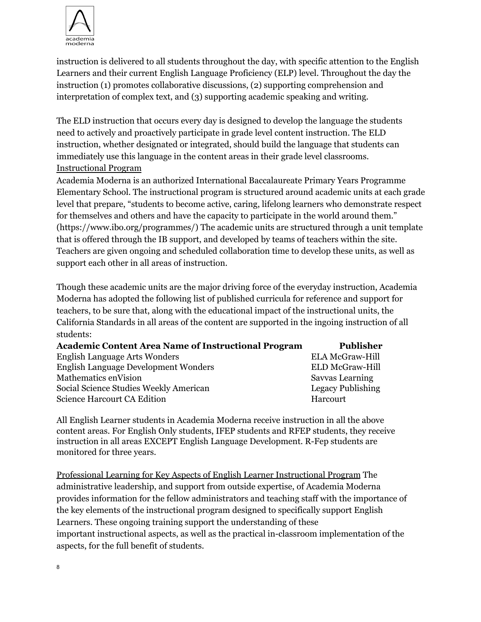

instruction is delivered to all students throughout the day, with specific attention to the English Learners and their current English Language Proficiency (ELP) level. Throughout the day the instruction (1) promotes collaborative discussions, (2) supporting comprehension and interpretation of complex text, and (3) supporting academic speaking and writing.

The ELD instruction that occurs every day is designed to develop the language the students need to actively and proactively participate in grade level content instruction. The ELD instruction, whether designated or integrated, should build the language that students can immediately use this language in the content areas in their grade level classrooms. Instructional Program

Academia Moderna is an authorized International Baccalaureate Primary Years Programme Elementary School. The instructional program is structured around academic units at each grade level that prepare, "students to become active, caring, lifelong learners who demonstrate respect for themselves and others and have the capacity to participate in the world around them." (https://www.ibo.org/programmes/) The academic units are structured through a unit template that is offered through the IB support, and developed by teams of teachers within the site. Teachers are given ongoing and scheduled collaboration time to develop these units, as well as support each other in all areas of instruction.

Though these academic units are the major driving force of the everyday instruction, Academia Moderna has adopted the following list of published curricula for reference and support for teachers, to be sure that, along with the educational impact of the instructional units, the California Standards in all areas of the content are supported in the ingoing instruction of all students:

| <b>Academic Content Area Name of Instructional Program</b> | Publisher                |
|------------------------------------------------------------|--------------------------|
| <b>English Language Arts Wonders</b>                       | <b>ELA McGraw-Hill</b>   |
| <b>English Language Development Wonders</b>                | <b>ELD McGraw-Hill</b>   |
| Mathematics en Vision                                      | <b>Savvas Learning</b>   |
| Social Science Studies Weekly American                     | <b>Legacy Publishing</b> |
| <b>Science Harcourt CA Edition</b>                         | Harcourt                 |

All English Learner students in Academia Moderna receive instruction in all the above content areas. For English Only students, IFEP students and RFEP students, they receive instruction in all areas EXCEPT English Language Development. R-Fep students are monitored for three years.

Professional Learning for Key Aspects of English Learner Instructional Program The administrative leadership, and support from outside expertise, of Academia Moderna provides information for the fellow administrators and teaching staff with the importance of the key elements of the instructional program designed to specifically support English Learners. These ongoing training support the understanding of these important instructional aspects, as well as the practical in-classroom implementation of the aspects, for the full benefit of students.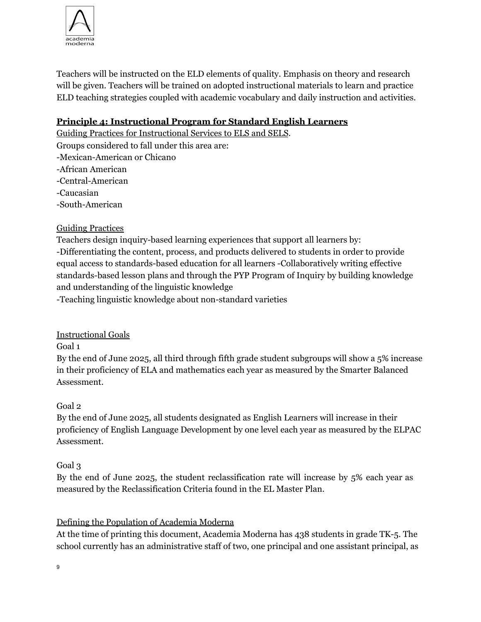

Teachers will be instructed on the ELD elements of quality. Emphasis on theory and research will be given. Teachers will be trained on adopted instructional materials to learn and practice ELD teaching strategies coupled with academic vocabulary and daily instruction and activities.

## **Principle 4: Instructional Program for Standard English Learners**

Guiding Practices for Instructional Services to ELS and SELS. Groups considered to fall under this area are: -Mexican-American or Chicano -African American -Central-American -Caucasian -South-American

## Guiding Practices

Teachers design inquiry-based learning experiences that support all learners by: -Differentiating the content, process, and products delivered to students in order to provide equal access to standards-based education for all learners -Collaboratively writing effective standards-based lesson plans and through the PYP Program of Inquiry by building knowledge and understanding of the linguistic knowledge

-Teaching linguistic knowledge about non-standard varieties

# Instructional Goals

Goal 1

By the end of June 2025, all third through fifth grade student subgroups will show a 5% increase in their proficiency of ELA and mathematics each year as measured by the Smarter Balanced Assessment.

### Goal 2

By the end of June 2025, all students designated as English Learners will increase in their proficiency of English Language Development by one level each year as measured by the ELPAC Assessment.

### Goal 3

By the end of June 2025, the student reclassification rate will increase by 5% each year as measured by the Reclassification Criteria found in the EL Master Plan.

# Defining the Population of Academia Moderna

At the time of printing this document, Academia Moderna has 438 students in grade TK-5. The school currently has an administrative staff of two, one principal and one assistant principal, as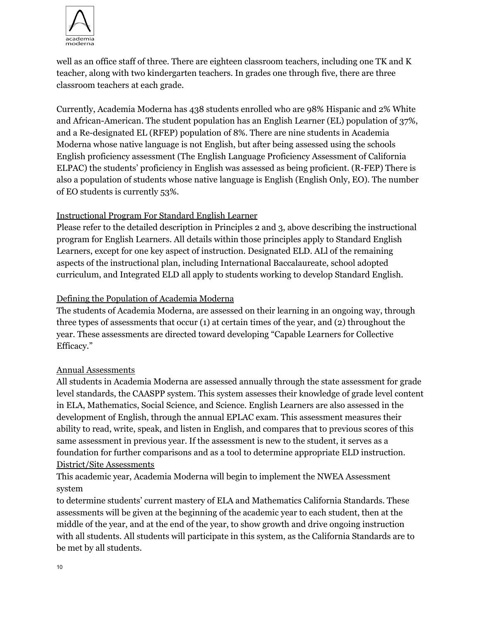

well as an office staff of three. There are eighteen classroom teachers, including one TK and K teacher, along with two kindergarten teachers. In grades one through five, there are three classroom teachers at each grade.

Currently, Academia Moderna has 438 students enrolled who are 98% Hispanic and 2% White and African-American. The student population has an English Learner (EL) population of 37%, and a Re-designated EL (RFEP) population of 8%. There are nine students in Academia Moderna whose native language is not English, but after being assessed using the schools English proficiency assessment (The English Language Proficiency Assessment of California ELPAC) the students' proficiency in English was assessed as being proficient. (R-FEP) There is also a population of students whose native language is English (English Only, EO). The number of EO students is currently 53%.

## Instructional Program For Standard English Learner

Please refer to the detailed description in Principles 2 and 3, above describing the instructional program for English Learners. All details within those principles apply to Standard English Learners, except for one key aspect of instruction. Designated ELD. ALl of the remaining aspects of the instructional plan, including International Baccalaureate, school adopted curriculum, and Integrated ELD all apply to students working to develop Standard English.

## Defining the Population of Academia Moderna

The students of Academia Moderna, are assessed on their learning in an ongoing way, through three types of assessments that occur (1) at certain times of the year, and (2) throughout the year. These assessments are directed toward developing "Capable Learners for Collective Efficacy."

### Annual Assessments

All students in Academia Moderna are assessed annually through the state assessment for grade level standards, the CAASPP system. This system assesses their knowledge of grade level content in ELA, Mathematics, Social Science, and Science. English Learners are also assessed in the development of English, through the annual EPLAC exam. This assessment measures their ability to read, write, speak, and listen in English, and compares that to previous scores of this same assessment in previous year. If the assessment is new to the student, it serves as a foundation for further comparisons and as a tool to determine appropriate ELD instruction. District/Site Assessments

This academic year, Academia Moderna will begin to implement the NWEA Assessment system

to determine students' current mastery of ELA and Mathematics California Standards. These assessments will be given at the beginning of the academic year to each student, then at the middle of the year, and at the end of the year, to show growth and drive ongoing instruction with all students. All students will participate in this system, as the California Standards are to be met by all students.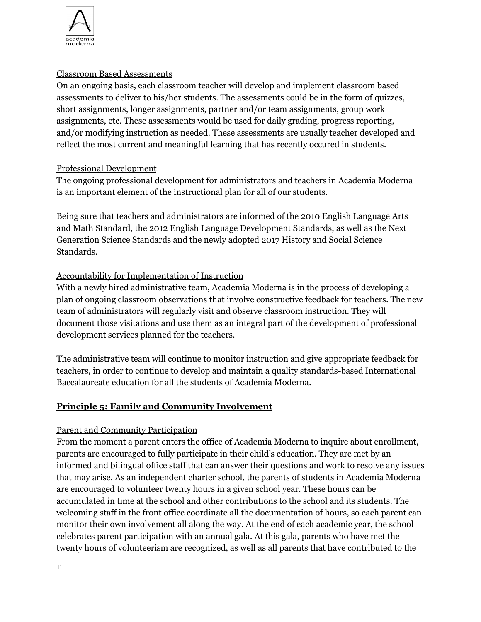

### Classroom Based Assessments

On an ongoing basis, each classroom teacher will develop and implement classroom based assessments to deliver to his/her students. The assessments could be in the form of quizzes, short assignments, longer assignments, partner and/or team assignments, group work assignments, etc. These assessments would be used for daily grading, progress reporting, and/or modifying instruction as needed. These assessments are usually teacher developed and reflect the most current and meaningful learning that has recently occured in students.

### Professional Development

The ongoing professional development for administrators and teachers in Academia Moderna is an important element of the instructional plan for all of our students.

Being sure that teachers and administrators are informed of the 2010 English Language Arts and Math Standard, the 2012 English Language Development Standards, as well as the Next Generation Science Standards and the newly adopted 2017 History and Social Science Standards.

### Accountability for Implementation of Instruction

With a newly hired administrative team, Academia Moderna is in the process of developing a plan of ongoing classroom observations that involve constructive feedback for teachers. The new team of administrators will regularly visit and observe classroom instruction. They will document those visitations and use them as an integral part of the development of professional development services planned for the teachers.

The administrative team will continue to monitor instruction and give appropriate feedback for teachers, in order to continue to develop and maintain a quality standards-based International Baccalaureate education for all the students of Academia Moderna.

### **Principle 5: Family and Community Involvement**

### Parent and Community Participation

From the moment a parent enters the office of Academia Moderna to inquire about enrollment, parents are encouraged to fully participate in their child's education. They are met by an informed and bilingual office staff that can answer their questions and work to resolve any issues that may arise. As an independent charter school, the parents of students in Academia Moderna are encouraged to volunteer twenty hours in a given school year. These hours can be accumulated in time at the school and other contributions to the school and its students. The welcoming staff in the front office coordinate all the documentation of hours, so each parent can monitor their own involvement all along the way. At the end of each academic year, the school celebrates parent participation with an annual gala. At this gala, parents who have met the twenty hours of volunteerism are recognized, as well as all parents that have contributed to the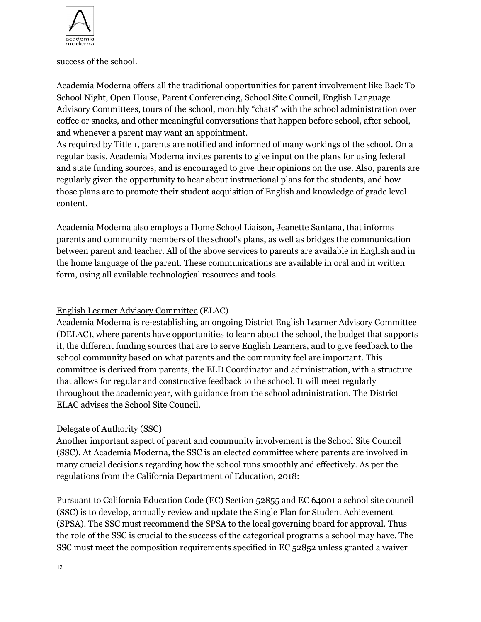

success of the school.

Academia Moderna offers all the traditional opportunities for parent involvement like Back To School Night, Open House, Parent Conferencing, School Site Council, English Language Advisory Committees, tours of the school, monthly "chats" with the school administration over coffee or snacks, and other meaningful conversations that happen before school, after school, and whenever a parent may want an appointment.

As required by Title 1, parents are notified and informed of many workings of the school. On a regular basis, Academia Moderna invites parents to give input on the plans for using federal and state funding sources, and is encouraged to give their opinions on the use. Also, parents are regularly given the opportunity to hear about instructional plans for the students, and how those plans are to promote their student acquisition of English and knowledge of grade level content.

Academia Moderna also employs a Home School Liaison, Jeanette Santana, that informs parents and community members of the school's plans, as well as bridges the communication between parent and teacher. All of the above services to parents are available in English and in the home language of the parent. These communications are available in oral and in written form, using all available technological resources and tools.

## English Learner Advisory Committee (ELAC)

Academia Moderna is re-establishing an ongoing District English Learner Advisory Committee (DELAC), where parents have opportunities to learn about the school, the budget that supports it, the different funding sources that are to serve English Learners, and to give feedback to the school community based on what parents and the community feel are important. This committee is derived from parents, the ELD Coordinator and administration, with a structure that allows for regular and constructive feedback to the school. It will meet regularly throughout the academic year, with guidance from the school administration. The District ELAC advises the School Site Council.

### Delegate of Authority (SSC)

Another important aspect of parent and community involvement is the School Site Council (SSC). At Academia Moderna, the SSC is an elected committee where parents are involved in many crucial decisions regarding how the school runs smoothly and effectively. As per the regulations from the California Department of Education, 2018:

Pursuant to California Education Code (EC) Section 52855 and EC 64001 a school site council (SSC) is to develop, annually review and update the Single Plan for Student Achievement (SPSA). The SSC must recommend the SPSA to the local governing board for approval. Thus the role of the SSC is crucial to the success of the categorical programs a school may have. The SSC must meet the composition requirements specified in EC 52852 unless granted a waiver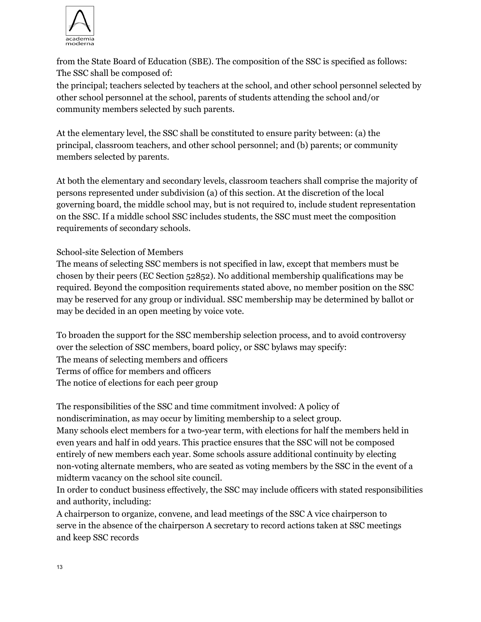

from the State Board of Education (SBE). The composition of the SSC is specified as follows: The SSC shall be composed of:

the principal; teachers selected by teachers at the school, and other school personnel selected by other school personnel at the school, parents of students attending the school and/or community members selected by such parents.

At the elementary level, the SSC shall be constituted to ensure parity between: (a) the principal, classroom teachers, and other school personnel; and (b) parents; or community members selected by parents.

At both the elementary and secondary levels, classroom teachers shall comprise the majority of persons represented under subdivision (a) of this section. At the discretion of the local governing board, the middle school may, but is not required to, include student representation on the SSC. If a middle school SSC includes students, the SSC must meet the composition requirements of secondary schools.

### School-site Selection of Members

The means of selecting SSC members is not specified in law, except that members must be chosen by their peers (EC Section 52852). No additional membership qualifications may be required. Beyond the composition requirements stated above, no member position on the SSC may be reserved for any group or individual. SSC membership may be determined by ballot or may be decided in an open meeting by voice vote.

To broaden the support for the SSC membership selection process, and to avoid controversy over the selection of SSC members, board policy, or SSC bylaws may specify: The means of selecting members and officers Terms of office for members and officers The notice of elections for each peer group

The responsibilities of the SSC and time commitment involved: A policy of nondiscrimination, as may occur by limiting membership to a select group. Many schools elect members for a two-year term, with elections for half the members held in even years and half in odd years. This practice ensures that the SSC will not be composed entirely of new members each year. Some schools assure additional continuity by electing non-voting alternate members, who are seated as voting members by the SSC in the event of a midterm vacancy on the school site council.

In order to conduct business effectively, the SSC may include officers with stated responsibilities and authority, including:

A chairperson to organize, convene, and lead meetings of the SSC A vice chairperson to serve in the absence of the chairperson A secretary to record actions taken at SSC meetings and keep SSC records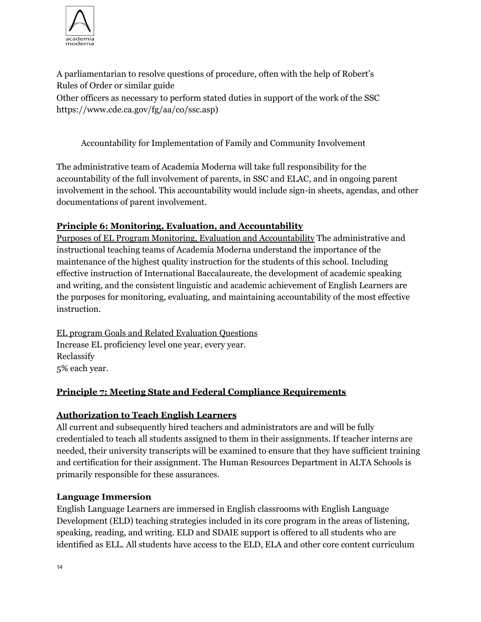

A parliamentarian to resolve questions of procedure, often with the help of Robert's Rules of Order or similar guide Other officers as necessary to perform stated duties in support of the work of the SSC https://www.cde.ca.gov/fg/aa/co/ssc.asp)

# Accountability for Implementation of Family and Community Involvement

The administrative team of Academia Moderna will take full responsibility for the accountability of the full involvement of parents, in SSC and ELAC, and in ongoing parent involvement in the school. This accountability would include sign-in sheets, agendas, and other documentations of parent involvement.

### **Principle 6: Monitoring, Evaluation, and Accountability**

Purposes of EL Program Monitoring, Evaluation and Accountability The administrative and instructional teaching teams of Academia Moderna understand the importance of the maintenance of the highest quality instruction for the students of this school. Including effective instruction of International Baccalaureate, the development of academic speaking and writing, and the consistent linguistic and academic achievement of English Learners are the purposes for monitoring, evaluating, and maintaining accountability of the most effective instruction.

EL program Goals and Related Evaluation Questions Increase EL proficiency level one year, every year. Reclassify 5% each year.

### **Principle 7: Meeting State and Federal Compliance Requirements**

#### **Authorization to Teach English Learners**

All current and subsequently hired teachers and administrators are and will be fully credentialed to teach all students assigned to them in their assignments. If teacher interns are needed, their university transcripts will be examined to ensure that they have sufficient training and certification for their assignment. The Human Resources Department in ALTA Schools is primarily responsible for these assurances.

#### **Language Immersion**

English Language Learners are immersed in English classrooms with English Language Development (ELD) teaching strategies included in its core program in the areas of listening, speaking, reading, and writing. ELD and SDAIE support is offered to all students who are identified as ELL. All students have access to the ELD, ELA and other core content curriculum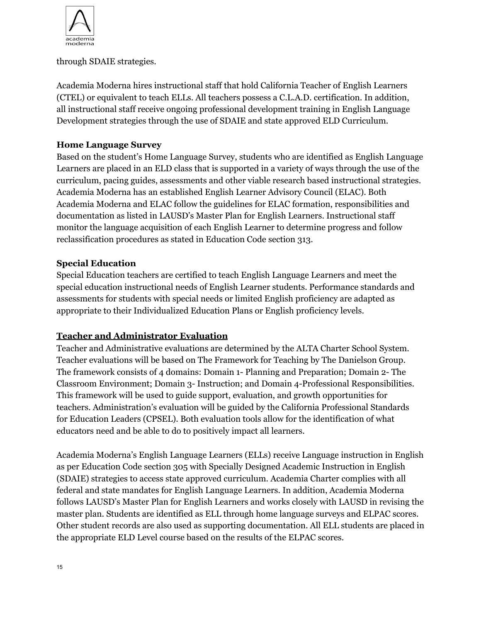

### through SDAIE strategies.

Academia Moderna hires instructional staff that hold California Teacher of English Learners (CTEL) or equivalent to teach ELLs. All teachers possess a C.L.A.D. certification. In addition, all instructional staff receive ongoing professional development training in English Language Development strategies through the use of SDAIE and state approved ELD Curriculum.

### **Home Language Survey**

Based on the student's Home Language Survey, students who are identified as English Language Learners are placed in an ELD class that is supported in a variety of ways through the use of the curriculum, pacing guides, assessments and other viable research based instructional strategies. Academia Moderna has an established English Learner Advisory Council (ELAC). Both Academia Moderna and ELAC follow the guidelines for ELAC formation, responsibilities and documentation as listed in LAUSD's Master Plan for English Learners. Instructional staff monitor the language acquisition of each English Learner to determine progress and follow reclassification procedures as stated in Education Code section 313.

### **Special Education**

Special Education teachers are certified to teach English Language Learners and meet the special education instructional needs of English Learner students. Performance standards and assessments for students with special needs or limited English proficiency are adapted as appropriate to their Individualized Education Plans or English proficiency levels.

#### **Teacher and Administrator Evaluation**

Teacher and Administrative evaluations are determined by the ALTA Charter School System. Teacher evaluations will be based on The Framework for Teaching by The Danielson Group. The framework consists of 4 domains: Domain 1- Planning and Preparation; Domain 2- The Classroom Environment; Domain 3- Instruction; and Domain 4-Professional Responsibilities. This framework will be used to guide support, evaluation, and growth opportunities for teachers. Administration's evaluation will be guided by the California Professional Standards for Education Leaders (CPSEL). Both evaluation tools allow for the identification of what educators need and be able to do to positively impact all learners.

Academia Moderna's English Language Learners (ELLs) receive Language instruction in English as per Education Code section 305 with Specially Designed Academic Instruction in English (SDAIE) strategies to access state approved curriculum. Academia Charter complies with all federal and state mandates for English Language Learners. In addition, Academia Moderna follows LAUSD's Master Plan for English Learners and works closely with LAUSD in revising the master plan. Students are identified as ELL through home language surveys and ELPAC scores. Other student records are also used as supporting documentation. All ELL students are placed in the appropriate ELD Level course based on the results of the ELPAC scores.